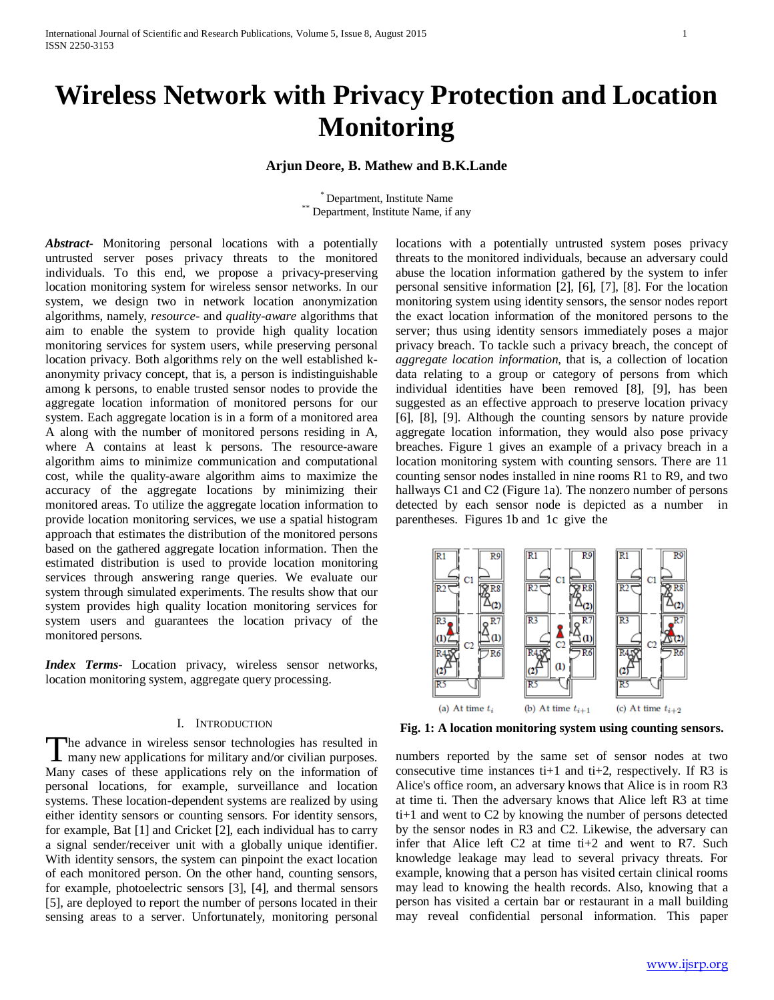# **Wireless Network with Privacy Protection and Location Monitoring**

## **Arjun Deore, B. Mathew and B.K.Lande**

 $*$  Department, Institute Name, if any Department, Institute Name, if any

*Abstract***-** Monitoring personal locations with a potentially untrusted server poses privacy threats to the monitored individuals. To this end, we propose a privacy-preserving location monitoring system for wireless sensor networks. In our system, we design two in network location anonymization algorithms, namely, *resource-* and *quality-aware* algorithms that aim to enable the system to provide high quality location monitoring services for system users, while preserving personal location privacy. Both algorithms rely on the well established kanonymity privacy concept, that is, a person is indistinguishable among k persons, to enable trusted sensor nodes to provide the aggregate location information of monitored persons for our system. Each aggregate location is in a form of a monitored area A along with the number of monitored persons residing in A, where A contains at least k persons. The resource-aware algorithm aims to minimize communication and computational cost, while the quality-aware algorithm aims to maximize the accuracy of the aggregate locations by minimizing their monitored areas. To utilize the aggregate location information to provide location monitoring services, we use a spatial histogram approach that estimates the distribution of the monitored persons based on the gathered aggregate location information. Then the estimated distribution is used to provide location monitoring services through answering range queries. We evaluate our system through simulated experiments. The results show that our system provides high quality location monitoring services for system users and guarantees the location privacy of the monitored persons.

*Index Terms*- Location privacy, wireless sensor networks, location monitoring system, aggregate query processing.

## I. INTRODUCTION

he advance in wireless sensor technologies has resulted in The advance in wireless sensor technologies has resulted in<br>
many new applications for military and/or civilian purposes. Many cases of these applications rely on the information of personal locations, for example, surveillance and location systems. These location-dependent systems are realized by using either identity sensors or counting sensors. For identity sensors, for example, Bat [1] and Cricket [2], each individual has to carry a signal sender/receiver unit with a globally unique identifier. With identity sensors, the system can pinpoint the exact location of each monitored person. On the other hand, counting sensors, for example, photoelectric sensors [3], [4], and thermal sensors [5], are deployed to report the number of persons located in their sensing areas to a server. Unfortunately, monitoring personal

locations with a potentially untrusted system poses privacy threats to the monitored individuals, because an adversary could abuse the location information gathered by the system to infer personal sensitive information [2], [6], [7], [8]. For the location monitoring system using identity sensors, the sensor nodes report the exact location information of the monitored persons to the server; thus using identity sensors immediately poses a major privacy breach. To tackle such a privacy breach, the concept of *aggregate location information*, that is, a collection of location data relating to a group or category of persons from which individual identities have been removed [8], [9], has been suggested as an effective approach to preserve location privacy [6], [8], [9]. Although the counting sensors by nature provide aggregate location information, they would also pose privacy breaches. Figure 1 gives an example of a privacy breach in a location monitoring system with counting sensors. There are 11 counting sensor nodes installed in nine rooms R1 to R9, and two hallways C1 and C2 (Figure 1a). The nonzero number of persons detected by each sensor node is depicted as a number in parentheses. Figures 1b and 1c give the



**Fig. 1: A location monitoring system using counting sensors.**

numbers reported by the same set of sensor nodes at two consecutive time instances ti+1 and ti+2, respectively. If R3 is Alice's office room, an adversary knows that Alice is in room R3 at time ti. Then the adversary knows that Alice left R3 at time ti+1 and went to C2 by knowing the number of persons detected by the sensor nodes in R3 and C2. Likewise, the adversary can infer that Alice left  $C2$  at time ti+2 and went to R7. Such knowledge leakage may lead to several privacy threats. For example, knowing that a person has visited certain clinical rooms may lead to knowing the health records. Also, knowing that a person has visited a certain bar or restaurant in a mall building may reveal confidential personal information. This paper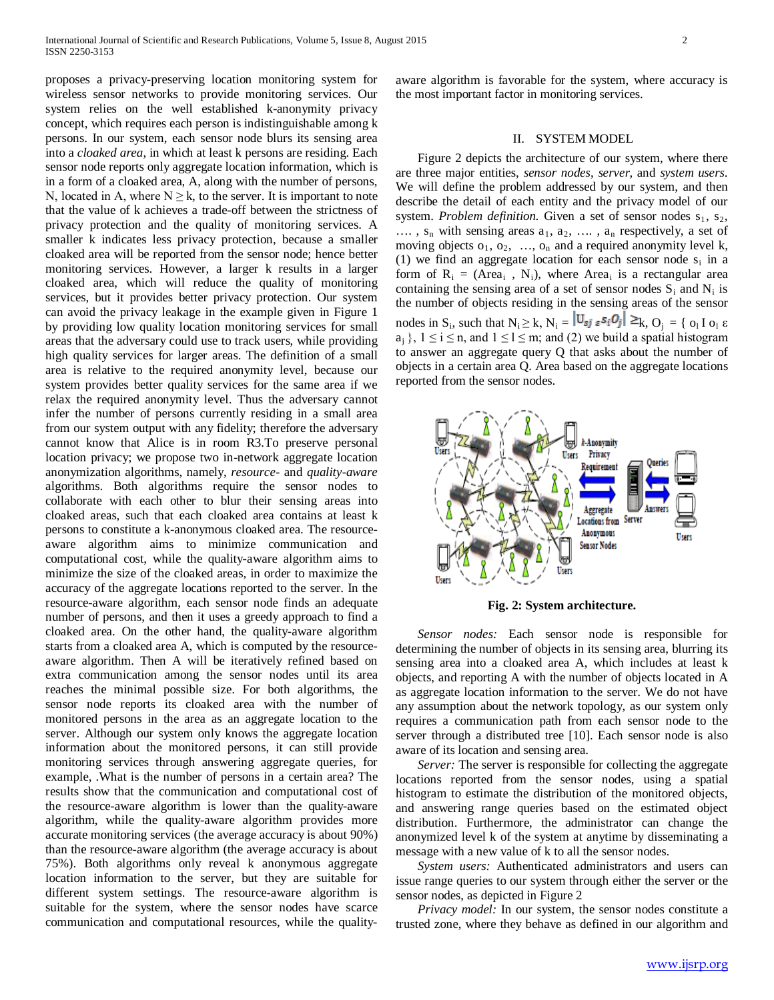proposes a privacy-preserving location monitoring system for wireless sensor networks to provide monitoring services. Our system relies on the well established k-anonymity privacy concept, which requires each person is indistinguishable among k persons. In our system, each sensor node blurs its sensing area into a *cloaked area*, in which at least k persons are residing. Each sensor node reports only aggregate location information, which is in a form of a cloaked area, A, along with the number of persons, N, located in A, where  $N \ge k$ , to the server. It is important to note that the value of k achieves a trade-off between the strictness of privacy protection and the quality of monitoring services. A smaller k indicates less privacy protection, because a smaller cloaked area will be reported from the sensor node; hence better monitoring services. However, a larger k results in a larger cloaked area, which will reduce the quality of monitoring services, but it provides better privacy protection. Our system can avoid the privacy leakage in the example given in Figure 1 by providing low quality location monitoring services for small areas that the adversary could use to track users, while providing high quality services for larger areas. The definition of a small area is relative to the required anonymity level, because our system provides better quality services for the same area if we relax the required anonymity level. Thus the adversary cannot infer the number of persons currently residing in a small area from our system output with any fidelity; therefore the adversary cannot know that Alice is in room R3.To preserve personal location privacy; we propose two in-network aggregate location anonymization algorithms, namely, *resource-* and *quality-aware*  algorithms. Both algorithms require the sensor nodes to collaborate with each other to blur their sensing areas into cloaked areas, such that each cloaked area contains at least k persons to constitute a k-anonymous cloaked area. The resourceaware algorithm aims to minimize communication and computational cost, while the quality-aware algorithm aims to minimize the size of the cloaked areas, in order to maximize the accuracy of the aggregate locations reported to the server. In the resource-aware algorithm, each sensor node finds an adequate number of persons, and then it uses a greedy approach to find a cloaked area. On the other hand, the quality-aware algorithm starts from a cloaked area A, which is computed by the resourceaware algorithm. Then A will be iteratively refined based on extra communication among the sensor nodes until its area reaches the minimal possible size. For both algorithms, the sensor node reports its cloaked area with the number of monitored persons in the area as an aggregate location to the server. Although our system only knows the aggregate location information about the monitored persons, it can still provide monitoring services through answering aggregate queries, for example, .What is the number of persons in a certain area? The results show that the communication and computational cost of the resource-aware algorithm is lower than the quality-aware algorithm, while the quality-aware algorithm provides more accurate monitoring services (the average accuracy is about 90%) than the resource-aware algorithm (the average accuracy is about 75%). Both algorithms only reveal k anonymous aggregate location information to the server, but they are suitable for different system settings. The resource-aware algorithm is suitable for the system, where the sensor nodes have scarce communication and computational resources, while the qualityaware algorithm is favorable for the system, where accuracy is the most important factor in monitoring services.

### II. SYSTEM MODEL

 Figure 2 depicts the architecture of our system, where there are three major entities, *sensor nodes*, *server*, and *system users*. We will define the problem addressed by our system, and then describe the detail of each entity and the privacy model of our system. *Problem definition*. Given a set of sensor nodes  $s_1$ ,  $s_2$ ,  $\ldots$ ,  $s_n$  with sensing areas  $a_1, a_2, \ldots, a_n$  respectively, a set of moving objects  $o_1, o_2, \ldots, o_n$  and a required anonymity level k, (1) we find an aggregate location for each sensor node  $s_i$  in a form of  $R_i = (Area_i, N_i)$ , where Area<sub>i</sub> is a rectangular area containing the sensing area of a set of sensor nodes  $S_i$  and  $N_i$  is the number of objects residing in the sensing areas of the sensor nodes in S<sub>i</sub>, such that  $N_i \ge k$ ,  $N_i = \left| \mathbf{U}_{\mathbf{S} \mathbf{J}} \right| \mathbf{S} \mathbf{S} \mathbf{I} \mathbf{O} \mathbf{J} \right| \ge k$ ,  $O_j = \left\{ o_1 I o_1 \varepsilon \right\}$  $a_i$ ,  $1 \le i \le n$ , and  $1 \le l \le m$ ; and (2) we build a spatial histogram to answer an aggregate query Q that asks about the number of objects in a certain area Q. Area based on the aggregate locations reported from the sensor nodes.



**Fig. 2: System architecture.**

 *Sensor nodes:* Each sensor node is responsible for determining the number of objects in its sensing area, blurring its sensing area into a cloaked area A, which includes at least k objects, and reporting A with the number of objects located in A as aggregate location information to the server. We do not have any assumption about the network topology, as our system only requires a communication path from each sensor node to the server through a distributed tree [10]. Each sensor node is also aware of its location and sensing area.

 *Server:* The server is responsible for collecting the aggregate locations reported from the sensor nodes, using a spatial histogram to estimate the distribution of the monitored objects, and answering range queries based on the estimated object distribution. Furthermore, the administrator can change the anonymized level k of the system at anytime by disseminating a message with a new value of k to all the sensor nodes.

 *System users:* Authenticated administrators and users can issue range queries to our system through either the server or the sensor nodes, as depicted in Figure 2

 *Privacy model:* In our system, the sensor nodes constitute a trusted zone, where they behave as defined in our algorithm and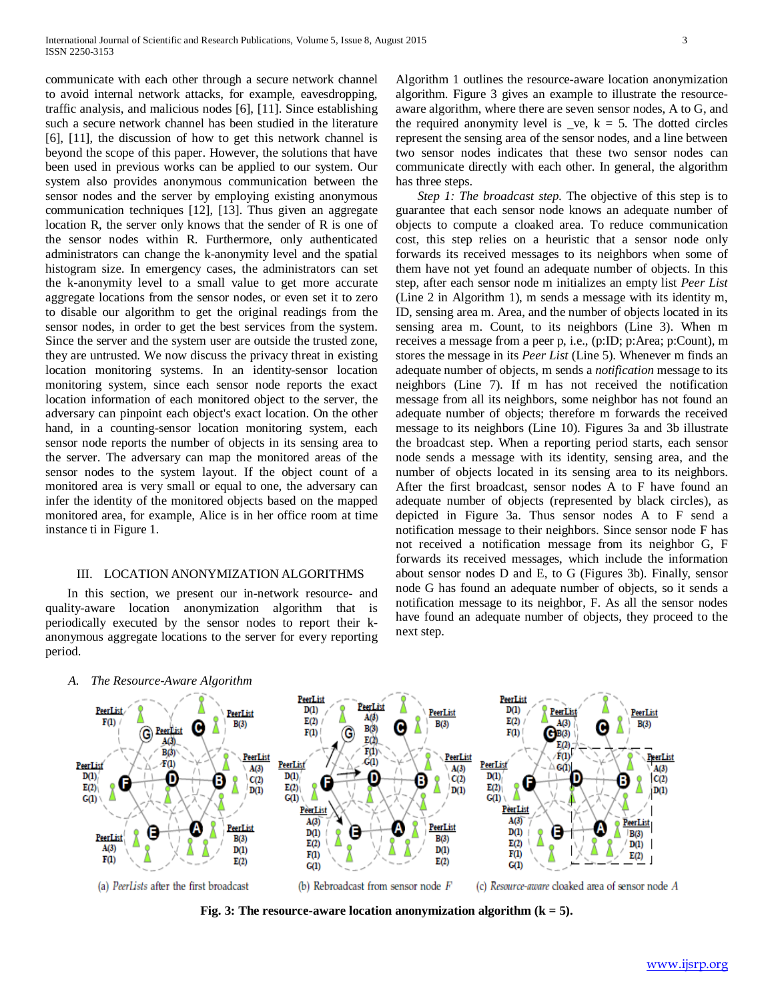communicate with each other through a secure network channel to avoid internal network attacks, for example, eavesdropping, traffic analysis, and malicious nodes [6], [11]. Since establishing such a secure network channel has been studied in the literature [6], [11], the discussion of how to get this network channel is beyond the scope of this paper. However, the solutions that have been used in previous works can be applied to our system. Our system also provides anonymous communication between the sensor nodes and the server by employing existing anonymous communication techniques [12], [13]. Thus given an aggregate location R, the server only knows that the sender of R is one of the sensor nodes within R. Furthermore, only authenticated administrators can change the k-anonymity level and the spatial histogram size. In emergency cases, the administrators can set the k-anonymity level to a small value to get more accurate aggregate locations from the sensor nodes, or even set it to zero to disable our algorithm to get the original readings from the sensor nodes, in order to get the best services from the system. Since the server and the system user are outside the trusted zone, they are untrusted. We now discuss the privacy threat in existing location monitoring systems. In an identity-sensor location monitoring system, since each sensor node reports the exact location information of each monitored object to the server, the adversary can pinpoint each object's exact location. On the other hand, in a counting-sensor location monitoring system, each sensor node reports the number of objects in its sensing area to the server. The adversary can map the monitored areas of the sensor nodes to the system layout. If the object count of a monitored area is very small or equal to one, the adversary can infer the identity of the monitored objects based on the mapped monitored area, for example, Alice is in her office room at time instance ti in Figure 1.

#### III. LOCATION ANONYMIZATION ALGORITHMS

 In this section, we present our in-network resource- and quality-aware location anonymization algorithm that is periodically executed by the sensor nodes to report their kanonymous aggregate locations to the server for every reporting period.

Algorithm 1 outlines the resource-aware location anonymization algorithm. Figure 3 gives an example to illustrate the resourceaware algorithm, where there are seven sensor nodes, A to G, and the required anonymity level is  $\_\vee$  e,  $k = 5$ . The dotted circles represent the sensing area of the sensor nodes, and a line between two sensor nodes indicates that these two sensor nodes can communicate directly with each other. In general, the algorithm has three steps.

*Step 1: The broadcast step.* The objective of this step is to guarantee that each sensor node knows an adequate number of objects to compute a cloaked area. To reduce communication cost, this step relies on a heuristic that a sensor node only forwards its received messages to its neighbors when some of them have not yet found an adequate number of objects. In this step, after each sensor node m initializes an empty list *Peer List*  (Line 2 in Algorithm 1), m sends a message with its identity m, ID, sensing area m. Area, and the number of objects located in its sensing area m. Count, to its neighbors (Line 3). When m receives a message from a peer p, i.e., (p:ID; p:Area; p:Count), m stores the message in its *Peer List* (Line 5). Whenever m finds an adequate number of objects, m sends a *notification* message to its neighbors (Line 7). If m has not received the notification message from all its neighbors, some neighbor has not found an adequate number of objects; therefore m forwards the received message to its neighbors (Line 10). Figures 3a and 3b illustrate the broadcast step. When a reporting period starts, each sensor node sends a message with its identity, sensing area, and the number of objects located in its sensing area to its neighbors. After the first broadcast, sensor nodes A to F have found an adequate number of objects (represented by black circles), as depicted in Figure 3a. Thus sensor nodes A to F send a notification message to their neighbors. Since sensor node F has not received a notification message from its neighbor G, F forwards its received messages, which include the information about sensor nodes D and E, to G (Figures 3b). Finally, sensor node G has found an adequate number of objects, so it sends a notification message to its neighbor, F. As all the sensor nodes have found an adequate number of objects, they proceed to the next step.



**Fig. 3: The resource-aware location anonymization algorithm (k = 5).**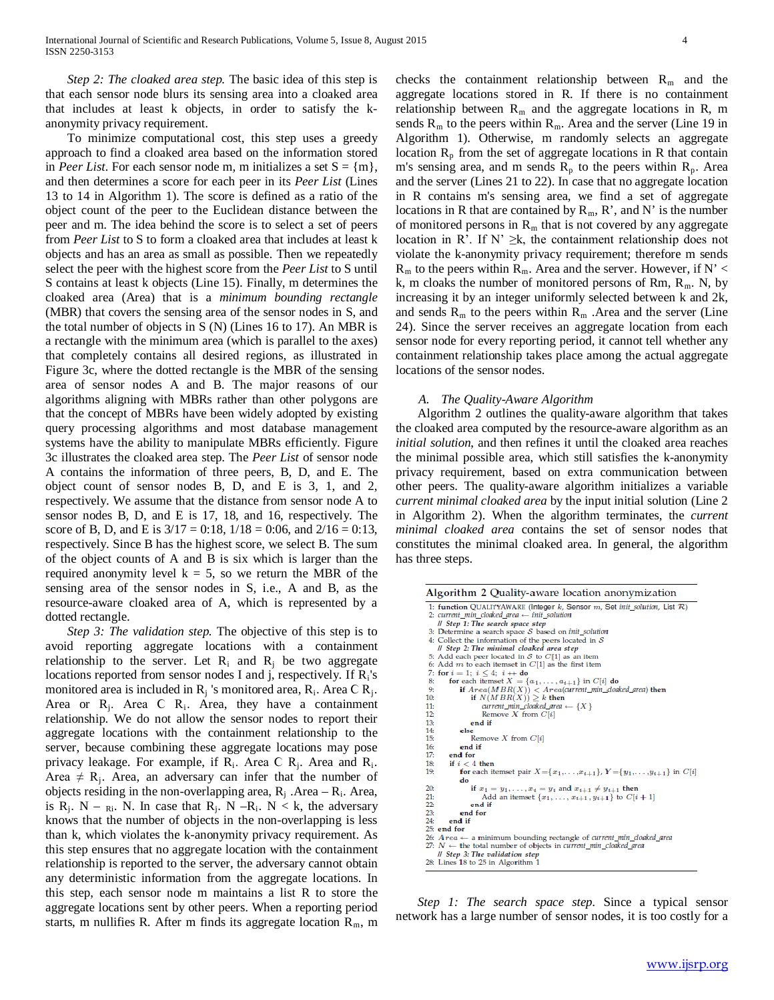*Step 2: The cloaked area step.* The basic idea of this step is that each sensor node blurs its sensing area into a cloaked area that includes at least k objects, in order to satisfy the kanonymity privacy requirement.

 To minimize computational cost, this step uses a greedy approach to find a cloaked area based on the information stored in *Peer List*. For each sensor node m, m initializes a set  $S = \{m\},\$ and then determines a score for each peer in its *Peer List* (Lines 13 to 14 in Algorithm 1). The score is defined as a ratio of the object count of the peer to the Euclidean distance between the peer and m. The idea behind the score is to select a set of peers from *Peer List* to S to form a cloaked area that includes at least k objects and has an area as small as possible. Then we repeatedly select the peer with the highest score from the *Peer List* to S until S contains at least k objects (Line 15). Finally, m determines the cloaked area (Area) that is a *minimum bounding rectangle*  (MBR) that covers the sensing area of the sensor nodes in S, and the total number of objects in S (N) (Lines 16 to 17). An MBR is a rectangle with the minimum area (which is parallel to the axes) that completely contains all desired regions, as illustrated in Figure 3c, where the dotted rectangle is the MBR of the sensing area of sensor nodes A and B. The major reasons of our algorithms aligning with MBRs rather than other polygons are that the concept of MBRs have been widely adopted by existing query processing algorithms and most database management systems have the ability to manipulate MBRs efficiently. Figure 3c illustrates the cloaked area step. The *Peer List* of sensor node A contains the information of three peers, B, D, and E. The object count of sensor nodes B, D, and E is 3, 1, and 2, respectively. We assume that the distance from sensor node A to sensor nodes B, D, and E is 17, 18, and 16, respectively. The score of B, D, and E is  $3/17 = 0.18$ ,  $1/18 = 0.06$ , and  $2/16 = 0.13$ , respectively. Since B has the highest score, we select B. The sum of the object counts of A and B is six which is larger than the required anonymity level  $k = 5$ , so we return the MBR of the sensing area of the sensor nodes in S, i.e., A and B, as the resource-aware cloaked area of A, which is represented by a dotted rectangle.

 *Step 3: The validation step.* The objective of this step is to avoid reporting aggregate locations with a containment relationship to the server. Let  $R_i$  and  $R_j$  be two aggregate locations reported from sensor nodes I and j, respectively. If  $R_i$ 's monitored area is included in  $R_i$  's monitored area,  $R_i$ . Area C  $R_i$ . Area or  $R_i$ . Area C  $R_i$ . Area, they have a containment relationship. We do not allow the sensor nodes to report their aggregate locations with the containment relationship to the server, because combining these aggregate locations may pose privacy leakage. For example, if  $R_i$ . Area C  $R_i$ . Area and  $R_i$ . Area  $\neq$  R<sub>i</sub>. Area, an adversary can infer that the number of objects residing in the non-overlapping area,  $R_i$ . Area –  $R_i$ . Area, is  $R_i$ . N –  $_{R_i}$ . N. In case that  $R_i$ . N – $R_i$ . N < k, the adversary knows that the number of objects in the non-overlapping is less than k, which violates the k-anonymity privacy requirement. As this step ensures that no aggregate location with the containment relationship is reported to the server, the adversary cannot obtain any deterministic information from the aggregate locations. In this step, each sensor node m maintains a list R to store the aggregate locations sent by other peers. When a reporting period starts, m nullifies R. After m finds its aggregate location  $R_m$ , m

checks the containment relationship between  $R_m$  and the aggregate locations stored in R. If there is no containment relationship between  $R_m$  and the aggregate locations in R, m sends  $R_m$  to the peers within  $R_m$ . Area and the server (Line 19 in Algorithm 1). Otherwise, m randomly selects an aggregate location  $R_p$  from the set of aggregate locations in R that contain m's sensing area, and m sends  $R_p$  to the peers within  $R_p$ . Area and the server (Lines 21 to 22). In case that no aggregate location in R contains m's sensing area, we find a set of aggregate locations in R that are contained by  $R_m$ , R', and N' is the number of monitored persons in  $R_m$  that is not covered by any aggregate location in R'. If N'  $\geq k$ , the containment relationship does not violate the k-anonymity privacy requirement; therefore m sends  $R_m$  to the peers within  $R_m$ . Area and the server. However, if N' < k, m cloaks the number of monitored persons of Rm,  $R_m$ . N, by increasing it by an integer uniformly selected between k and 2k, and sends  $R_m$  to the peers within  $R_m$ . Area and the server (Line 24). Since the server receives an aggregate location from each sensor node for every reporting period, it cannot tell whether any containment relationship takes place among the actual aggregate locations of the sensor nodes.

#### *A. The Quality-Aware Algorithm*

 Algorithm 2 outlines the quality-aware algorithm that takes the cloaked area computed by the resource-aware algorithm as an *initial solution*, and then refines it until the cloaked area reaches the minimal possible area, which still satisfies the k-anonymity privacy requirement, based on extra communication between other peers. The quality-aware algorithm initializes a variable *current minimal cloaked area* by the input initial solution (Line 2 in Algorithm 2). When the algorithm terminates, the *current minimal cloaked area* contains the set of sensor nodes that constitutes the minimal cloaked area. In general, the algorithm has three steps.

| Algorithm 2 Quality-aware location anonymization                                                    |
|-----------------------------------------------------------------------------------------------------|
| 1: function QUALITYAWARE (Integer k, Sensor $m$ , Set init solution, List $\mathcal{R}$ )           |
| 2: current min cloaked area $\leftarrow$ init solution                                              |
| // Step 1: The search space step                                                                    |
| 3: Determine a search space $S$ based on <i>init_solution</i>                                       |
| 4: Collect the information of the peers located in $S$                                              |
| <i>ll Step 2: The minimal cloaked area step</i>                                                     |
| 5: Add each peer located in $S$ to $C[1]$ as an item                                                |
| 6: Add $m$ to each itemset in $C[1]$ as the first item                                              |
| 7: for $i = 1$ ; $i \le 4$ ; $i + 1$ do                                                             |
| for each itemset $X = \{a_1, \ldots, a_{t+1}\}\$ in $C[i]$ do<br>8:                                 |
| if $Area(MBR(X)) < Area$ (current_min_doaked_area) then<br>9:                                       |
| if $N(MBR(X)) \geq k$ then<br>10.                                                                   |
| $current\_min\_closed\_area \leftarrow \{X\}$<br>11:                                                |
| 12:<br>Remove $X$ from $C[i]$                                                                       |
| 13:<br>end if                                                                                       |
| 14:<br>else                                                                                         |
| 15 <sub>c</sub><br>Remove $X$ from $C[i]$                                                           |
| end if<br>16 <sub>c</sub>                                                                           |
| 17:<br>end for                                                                                      |
| 18:<br>if $i < 4$ then                                                                              |
| for each itemset pair $X = \{x_1, \ldots, x_{t+1}\}, Y = \{y_1, \ldots, y_{t+1}\}$ in $C[i]$<br>19: |
| do                                                                                                  |
| 20.<br>if $x_1 = y_1, \ldots, x_t = y_t$ and $x_{t+1} \neq y_{t+1}$ then                            |
| 21:<br>Add an itemset $\{x_1, , x_{t+1}, y_{t+1}\}$ to $C[i+1]$                                     |
| 22:<br>end if                                                                                       |
| 23:<br>end for                                                                                      |
| 24:<br>end if                                                                                       |
| $25$ : end for                                                                                      |
| 26: $Area \leftarrow$ a minimum bounding rectangle of current min doaked area                       |
| 27: $N \leftarrow$ the total number of objects in current min cloaked area                          |
| <i>ll Step 3: The validation step</i>                                                               |
| 28: Lines 18 to 25 in Algorithm 1                                                                   |
|                                                                                                     |

 *Step 1: The search space step.* Since a typical sensor network has a large number of sensor nodes, it is too costly for a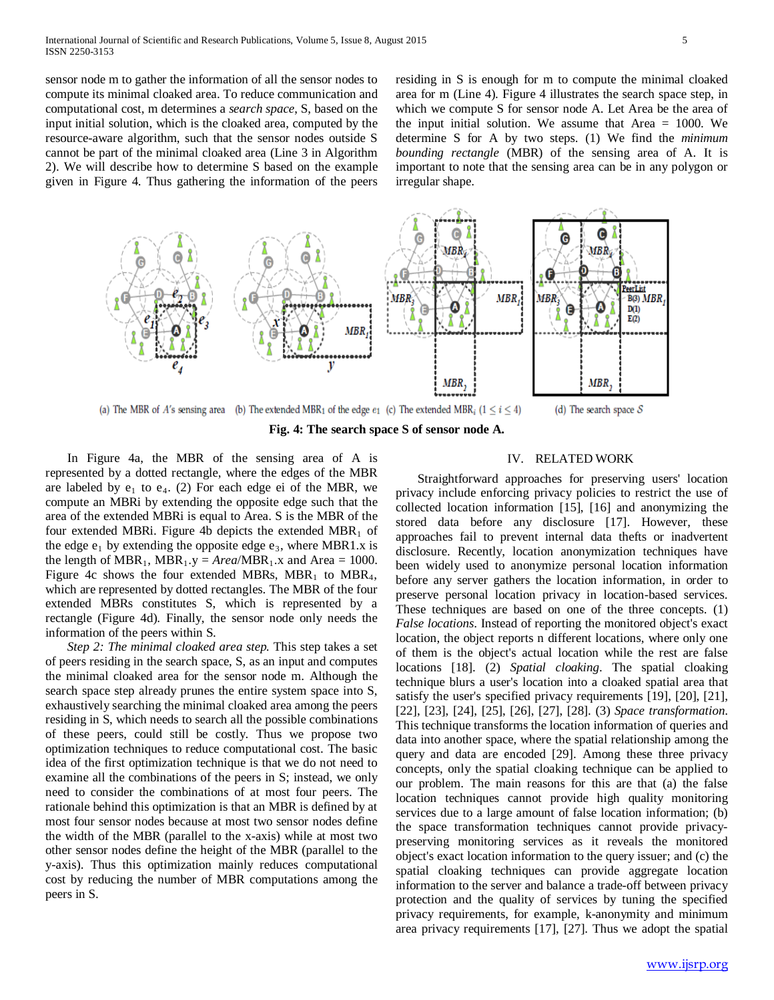sensor node m to gather the information of all the sensor nodes to compute its minimal cloaked area. To reduce communication and computational cost, m determines a *search space*, S, based on the input initial solution, which is the cloaked area, computed by the resource-aware algorithm, such that the sensor nodes outside S cannot be part of the minimal cloaked area (Line 3 in Algorithm 2). We will describe how to determine S based on the example given in Figure 4. Thus gathering the information of the peers

residing in S is enough for m to compute the minimal cloaked area for m (Line 4). Figure 4 illustrates the search space step, in which we compute S for sensor node A. Let Area be the area of the input initial solution. We assume that Area  $= 1000$ . We determine S for A by two steps. (1) We find the *minimum bounding rectangle* (MBR) of the sensing area of A. It is important to note that the sensing area can be in any polygon or irregular shape.



**Fig. 4: The search space S of sensor node A.**

 In Figure 4a, the MBR of the sensing area of A is represented by a dotted rectangle, where the edges of the MBR are labeled by  $e_1$  to  $e_4$ . (2) For each edge ei of the MBR, we compute an MBRi by extending the opposite edge such that the area of the extended MBRi is equal to Area. S is the MBR of the four extended MBRi. Figure 4b depicts the extended  $MBR_1$  of the edge  $e_1$  by extending the opposite edge  $e_3$ , where MBR1.x is the length of  $MBR_1$ ,  $MBR_1$ .y = *Area*/MBR<sub>1</sub>.x and Area = 1000. Figure 4c shows the four extended MBRs, MBR<sub>1</sub> to MBR<sub>4</sub>, which are represented by dotted rectangles. The MBR of the four extended MBRs constitutes S, which is represented by a rectangle (Figure 4d). Finally, the sensor node only needs the information of the peers within S.

 *Step 2: The minimal cloaked area step.* This step takes a set of peers residing in the search space, S, as an input and computes the minimal cloaked area for the sensor node m. Although the search space step already prunes the entire system space into S, exhaustively searching the minimal cloaked area among the peers residing in S, which needs to search all the possible combinations of these peers, could still be costly. Thus we propose two optimization techniques to reduce computational cost. The basic idea of the first optimization technique is that we do not need to examine all the combinations of the peers in S; instead, we only need to consider the combinations of at most four peers. The rationale behind this optimization is that an MBR is defined by at most four sensor nodes because at most two sensor nodes define the width of the MBR (parallel to the x-axis) while at most two other sensor nodes define the height of the MBR (parallel to the y-axis). Thus this optimization mainly reduces computational cost by reducing the number of MBR computations among the peers in S.

## IV. RELATED WORK

 Straightforward approaches for preserving users' location privacy include enforcing privacy policies to restrict the use of collected location information [15], [16] and anonymizing the stored data before any disclosure [17]. However, these approaches fail to prevent internal data thefts or inadvertent disclosure. Recently, location anonymization techniques have been widely used to anonymize personal location information before any server gathers the location information, in order to preserve personal location privacy in location-based services. These techniques are based on one of the three concepts. (1) *False locations*. Instead of reporting the monitored object's exact location, the object reports n different locations, where only one of them is the object's actual location while the rest are false locations [18]. (2) *Spatial cloaking*. The spatial cloaking technique blurs a user's location into a cloaked spatial area that satisfy the user's specified privacy requirements [19], [20], [21], [22], [23], [24], [25], [26], [27], [28]. (3) *Space transformation*. This technique transforms the location information of queries and data into another space, where the spatial relationship among the query and data are encoded [29]. Among these three privacy concepts, only the spatial cloaking technique can be applied to our problem. The main reasons for this are that (a) the false location techniques cannot provide high quality monitoring services due to a large amount of false location information; (b) the space transformation techniques cannot provide privacypreserving monitoring services as it reveals the monitored object's exact location information to the query issuer; and (c) the spatial cloaking techniques can provide aggregate location information to the server and balance a trade-off between privacy protection and the quality of services by tuning the specified privacy requirements, for example, k-anonymity and minimum area privacy requirements [17], [27]. Thus we adopt the spatial